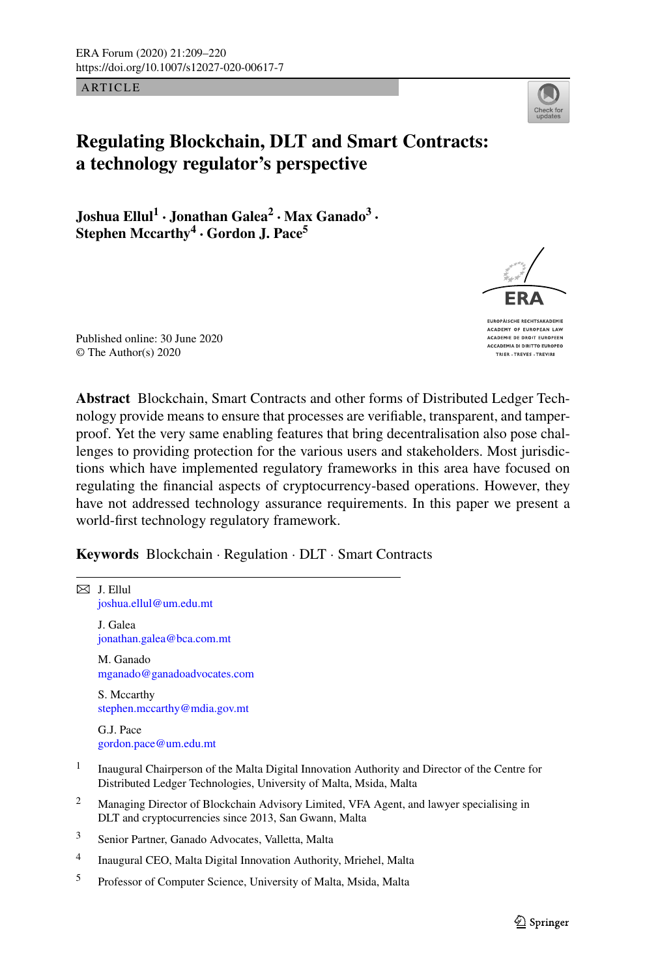ARTICLE



# **Regulating Blockchain, DLT and Smart Contracts: a technology regulator's perspective**

**Joshua Ellul1 · Jonathan Galea<sup>2</sup> · Max Ganado<sup>3</sup> · Stephen Mccarthy<sup>4</sup> · Gordon J. Pace<sup>5</sup>**

Published online: 30 June 2020 © The Author(s) 2020

**Abstract** Blockchain, Smart Contracts and other forms of Distributed Ledger Technology provide means to ensure that processes are verifiable, transparent, and tamperproof. Yet the very same enabling features that bring decentralisation also pose challenges to providing protection for the various users and stakeholders. Most jurisdictions which have implemented regulatory frameworks in this area have focused on regulating the financial aspects of cryptocurrency-based operations. However, they have not addressed technology assurance requirements. In this paper we present a world-first technology regulatory framework.

**Keywords** Blockchain · Regulation · DLT · Smart Contracts

 $\boxtimes$  J. Ellul [joshua.ellul@um.edu.mt](mailto:joshua.ellul@um.edu.mt) J. Galea [jonathan.galea@bca.com.mt](mailto:jonathan.galea@bca.com.mt) M. Ganado [mganado@ganadoadvocates.com](mailto:mganado@ganadoadvocates.com) S. Mccarthy [stephen.mccarthy@mdia.gov.mt](mailto:stephen.mccarthy@mdia.gov.mt) G.J. Pace [gordon.pace@um.edu.mt](mailto:gordon.pace@um.edu.mt) <sup>1</sup> Inaugural Chairperson of the Malta Digital Innovation Authority and Director of the Centre for Distributed Ledger Technologies, University of Malta, Msida, Malta <sup>2</sup> Managing Director of Blockchain Advisory Limited, VFA Agent, and lawyer specialising in DLT and cryptocurrencies since 2013, San Gwann, Malta <sup>3</sup> Senior Partner, Ganado Advocates, Valletta, Malta <sup>4</sup> Inaugural CEO, Malta Digital Innovation Authority, Mriehel, Malta <sup>5</sup> Professor of Computer Science, University of Malta, Msida, Malta



EUROPÄISCHE RECHTSAKADEMIE ACADEMY OF EUROPEAN LAV ACADEMIE DE DROIT EUROPEEN **ACCADEMIA DI DIRITTO EUROPEO** TRIER . TREVES . TREVIRE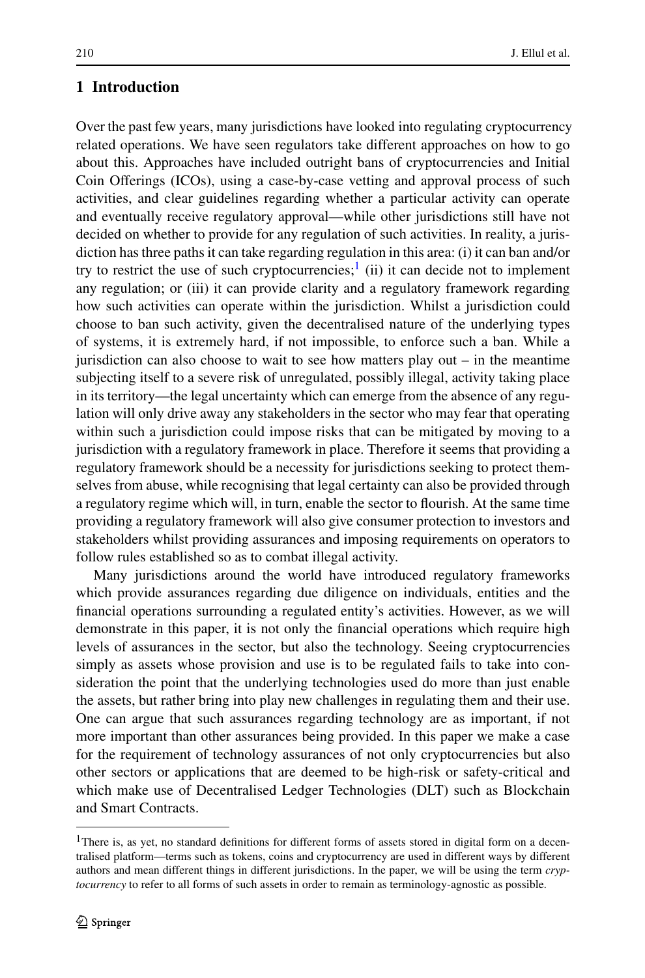## **1 Introduction**

Over the past few years, many jurisdictions have looked into regulating cryptocurrency related operations. We have seen regulators take different approaches on how to go about this. Approaches have included outright bans of cryptocurrencies and Initial Coin Offerings (ICOs), using a case-by-case vetting and approval process of such activities, and clear guidelines regarding whether a particular activity can operate and eventually receive regulatory approval—while other jurisdictions still have not decided on whether to provide for any regulation of such activities. In reality, a jurisdiction has three paths it can take regarding regulation in this area: (i) it can ban and/or try to restrict the use of such cryptocurrencies; $\frac{1}{1}$  $\frac{1}{1}$  $\frac{1}{1}$  (ii) it can decide not to implement any regulation; or (iii) it can provide clarity and a regulatory framework regarding how such activities can operate within the jurisdiction. Whilst a jurisdiction could choose to ban such activity, given the decentralised nature of the underlying types of systems, it is extremely hard, if not impossible, to enforce such a ban. While a jurisdiction can also choose to wait to see how matters play out – in the meantime subjecting itself to a severe risk of unregulated, possibly illegal, activity taking place in its territory—the legal uncertainty which can emerge from the absence of any regulation will only drive away any stakeholders in the sector who may fear that operating within such a jurisdiction could impose risks that can be mitigated by moving to a jurisdiction with a regulatory framework in place. Therefore it seems that providing a regulatory framework should be a necessity for jurisdictions seeking to protect themselves from abuse, while recognising that legal certainty can also be provided through a regulatory regime which will, in turn, enable the sector to flourish. At the same time providing a regulatory framework will also give consumer protection to investors and stakeholders whilst providing assurances and imposing requirements on operators to follow rules established so as to combat illegal activity.

<span id="page-1-0"></span>Many jurisdictions around the world have introduced regulatory frameworks which provide assurances regarding due diligence on individuals, entities and the financial operations surrounding a regulated entity's activities. However, as we will demonstrate in this paper, it is not only the financial operations which require high levels of assurances in the sector, but also the technology. Seeing cryptocurrencies simply as assets whose provision and use is to be regulated fails to take into consideration the point that the underlying technologies used do more than just enable the assets, but rather bring into play new challenges in regulating them and their use. One can argue that such assurances regarding technology are as important, if not more important than other assurances being provided. In this paper we make a case for the requirement of technology assurances of not only cryptocurrencies but also other sectors or applications that are deemed to be high-risk or safety-critical and which make use of Decentralised Ledger Technologies (DLT) such as Blockchain and Smart Contracts.

<sup>&</sup>lt;sup>1</sup>There is, as yet, no standard definitions for different forms of assets stored in digital form on a decentralised platform—terms such as tokens, coins and cryptocurrency are used in different ways by different authors and mean different things in different jurisdictions. In the paper, we will be using the term *cryptocurrency* to refer to all forms of such assets in order to remain as terminology-agnostic as possible.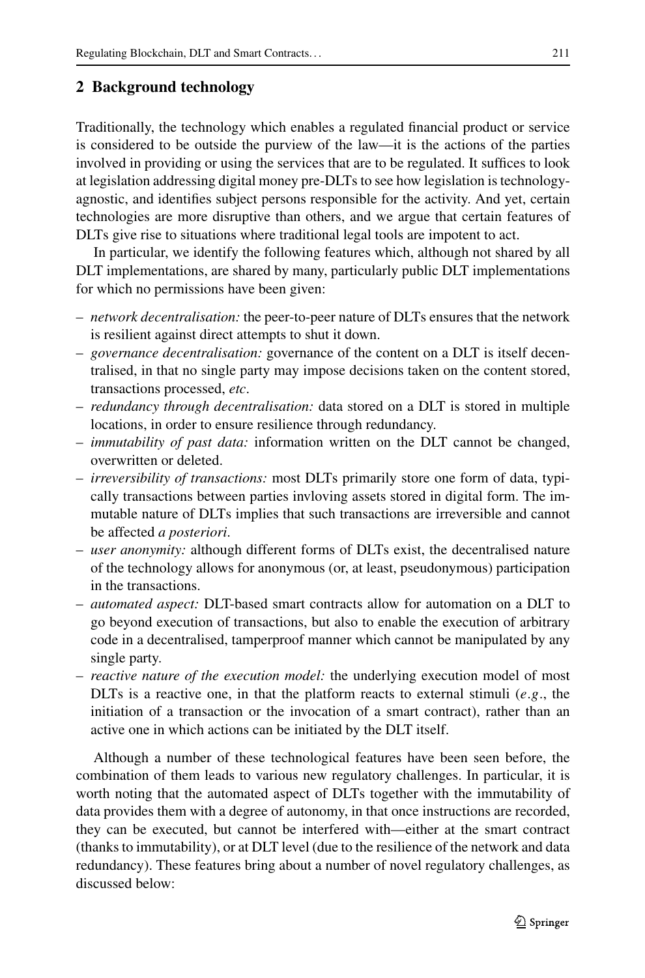## **2 Background technology**

Traditionally, the technology which enables a regulated financial product or service is considered to be outside the purview of the law—it is the actions of the parties involved in providing or using the services that are to be regulated. It suffices to look at legislation addressing digital money pre-DLTs to see how legislation is technologyagnostic, and identifies subject persons responsible for the activity. And yet, certain technologies are more disruptive than others, and we argue that certain features of DLTs give rise to situations where traditional legal tools are impotent to act.

In particular, we identify the following features which, although not shared by all DLT implementations, are shared by many, particularly public DLT implementations for which no permissions have been given:

- *network decentralisation:* the peer-to-peer nature of DLTs ensures that the network is resilient against direct attempts to shut it down.
- *governance decentralisation:* governance of the content on a DLT is itself decentralised, in that no single party may impose decisions taken on the content stored, transactions processed, *etc*.
- *redundancy through decentralisation:* data stored on a DLT is stored in multiple locations, in order to ensure resilience through redundancy.
- *immutability of past data:* information written on the DLT cannot be changed, overwritten or deleted.
- *irreversibility of transactions:* most DLTs primarily store one form of data, typically transactions between parties invloving assets stored in digital form. The immutable nature of DLTs implies that such transactions are irreversible and cannot be affected *a posteriori*.
- *user anonymity:* although different forms of DLTs exist, the decentralised nature of the technology allows for anonymous (or, at least, pseudonymous) participation in the transactions.
- *automated aspect:* DLT-based smart contracts allow for automation on a DLT to go beyond execution of transactions, but also to enable the execution of arbitrary code in a decentralised, tamperproof manner which cannot be manipulated by any single party.
- *reactive nature of the execution model:* the underlying execution model of most DLTs is a reactive one, in that the platform reacts to external stimuli (*e*.*g*., the initiation of a transaction or the invocation of a smart contract), rather than an active one in which actions can be initiated by the DLT itself.

Although a number of these technological features have been seen before, the combination of them leads to various new regulatory challenges. In particular, it is worth noting that the automated aspect of DLTs together with the immutability of data provides them with a degree of autonomy, in that once instructions are recorded, they can be executed, but cannot be interfered with—either at the smart contract (thanks to immutability), or at DLT level (due to the resilience of the network and data redundancy). These features bring about a number of novel regulatory challenges, as discussed below: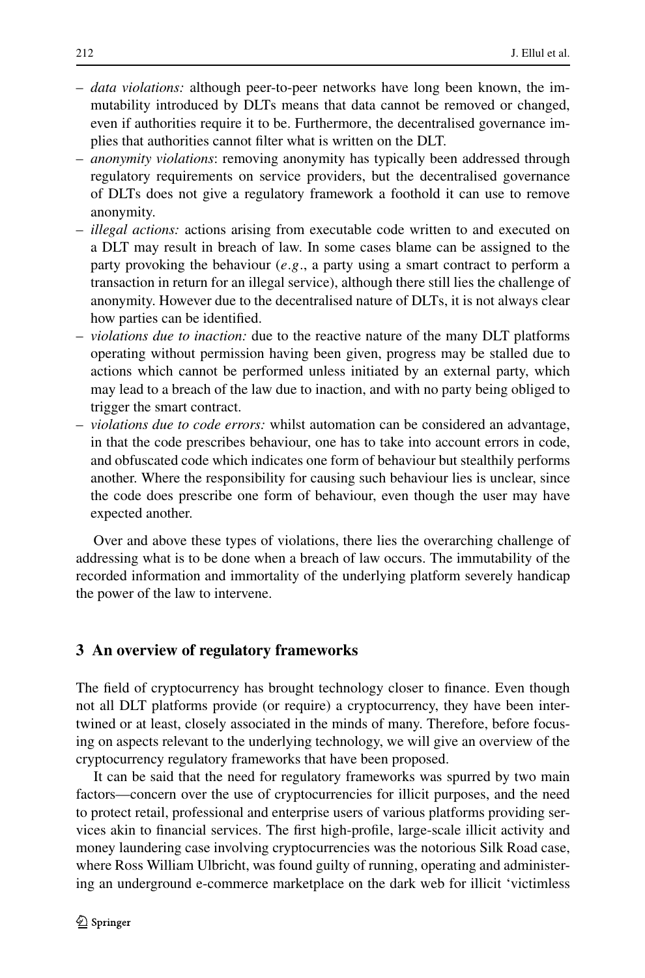- *data violations:* although peer-to-peer networks have long been known, the immutability introduced by DLTs means that data cannot be removed or changed, even if authorities require it to be. Furthermore, the decentralised governance implies that authorities cannot filter what is written on the DLT.
- *anonymity violations*: removing anonymity has typically been addressed through regulatory requirements on service providers, but the decentralised governance of DLTs does not give a regulatory framework a foothold it can use to remove anonymity.
- *illegal actions:* actions arising from executable code written to and executed on a DLT may result in breach of law. In some cases blame can be assigned to the party provoking the behaviour (*e*.*g*., a party using a smart contract to perform a transaction in return for an illegal service), although there still lies the challenge of anonymity. However due to the decentralised nature of DLTs, it is not always clear how parties can be identified.
- *violations due to inaction:* due to the reactive nature of the many DLT platforms operating without permission having been given, progress may be stalled due to actions which cannot be performed unless initiated by an external party, which may lead to a breach of the law due to inaction, and with no party being obliged to trigger the smart contract.
- *violations due to code errors:* whilst automation can be considered an advantage, in that the code prescribes behaviour, one has to take into account errors in code, and obfuscated code which indicates one form of behaviour but stealthily performs another. Where the responsibility for causing such behaviour lies is unclear, since the code does prescribe one form of behaviour, even though the user may have expected another.

<span id="page-3-0"></span>Over and above these types of violations, there lies the overarching challenge of addressing what is to be done when a breach of law occurs. The immutability of the recorded information and immortality of the underlying platform severely handicap the power of the law to intervene.

## **3 An overview of regulatory frameworks**

The field of cryptocurrency has brought technology closer to finance. Even though not all DLT platforms provide (or require) a cryptocurrency, they have been intertwined or at least, closely associated in the minds of many. Therefore, before focusing on aspects relevant to the underlying technology, we will give an overview of the cryptocurrency regulatory frameworks that have been proposed.

It can be said that the need for regulatory frameworks was spurred by two main factors—concern over the use of cryptocurrencies for illicit purposes, and the need to protect retail, professional and enterprise users of various platforms providing services akin to financial services. The first high-profile, large-scale illicit activity and money laundering case involving cryptocurrencies was the notorious Silk Road case, where Ross William Ulbricht, was found guilty of running, operating and administering an underground e-commerce marketplace on the dark web for illicit 'victimless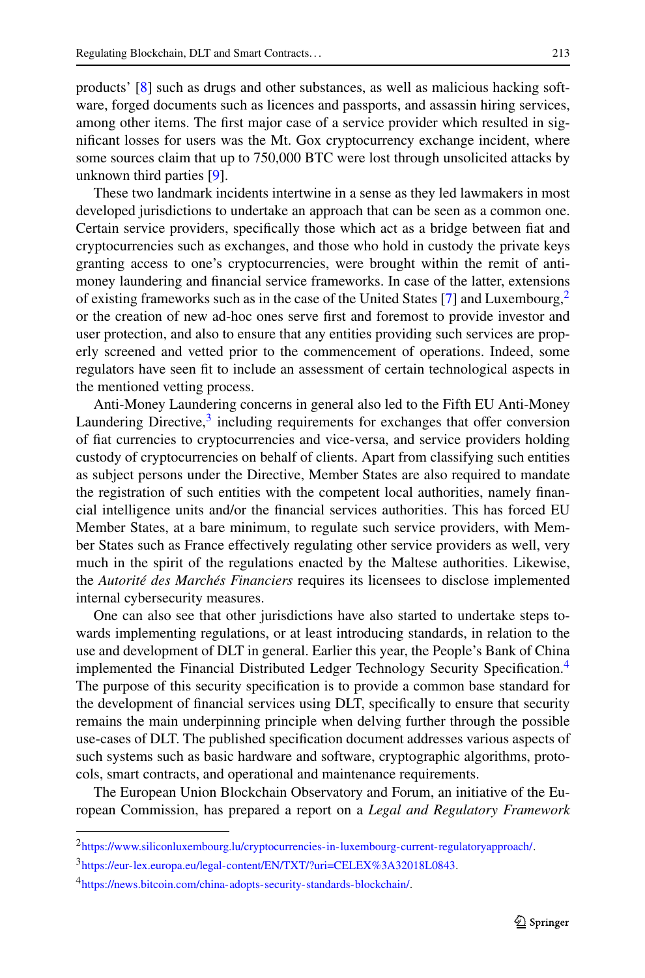products' [[8\]](#page-11-0) such as drugs and other substances, as well as malicious hacking software, forged documents such as licences and passports, and assassin hiring services, among other items. The first major case of a service provider which resulted in significant losses for users was the Mt. Gox cryptocurrency exchange incident, where some sources claim that up to 750,000 BTC were lost through unsolicited attacks by unknown third parties [[9\]](#page-11-1).

These two landmark incidents intertwine in a sense as they led lawmakers in most developed jurisdictions to undertake an approach that can be seen as a common one. Certain service providers, specifically those which act as a bridge between fiat and cryptocurrencies such as exchanges, and those who hold in custody the private keys granting access to one's cryptocurrencies, were brought within the remit of antimoney laundering and financial service frameworks. In case of the latter, extensions of existing frameworks such as in the case of the United States [[7\]](#page-11-2) and Luxembourg,<sup>2</sup> or the creation of new ad-hoc ones serve first and foremost to provide investor and user protection, and also to ensure that any entities providing such services are properly screened and vetted prior to the commencement of operations. Indeed, some regulators have seen fit to include an assessment of certain technological aspects in the mentioned vetting process.

Anti-Money Laundering concerns in general also led to the Fifth EU Anti-Money Laundering Directive, $3$  including requirements for exchanges that offer conversion of fiat currencies to cryptocurrencies and vice-versa, and service providers holding custody of cryptocurrencies on behalf of clients. Apart from classifying such entities as subject persons under the Directive, Member States are also required to mandate the registration of such entities with the competent local authorities, namely financial intelligence units and/or the financial services authorities. This has forced EU Member States, at a bare minimum, to regulate such service providers, with Member States such as France effectively regulating other service providers as well, very much in the spirit of the regulations enacted by the Maltese authorities. Likewise, the *Autorité des Marchés Financiers* requires its licensees to disclose implemented internal cybersecurity measures.

One can also see that other jurisdictions have also started to undertake steps towards implementing regulations, or at least introducing standards, in relation to the use and development of DLT in general. Earlier this year, the People's Bank of China implemented the Financial Distributed Ledger Technology Security Specification.[4](#page-4-2) The purpose of this security specification is to provide a common base standard for the development of financial services using DLT, specifically to ensure that security remains the main underpinning principle when delving further through the possible use-cases of DLT. The published specification document addresses various aspects of such systems such as basic hardware and software, cryptographic algorithms, protocols, smart contracts, and operational and maintenance requirements.

<span id="page-4-2"></span><span id="page-4-1"></span><span id="page-4-0"></span>The European Union Blockchain Observatory and Forum, an initiative of the European Commission, has prepared a report on a *Legal and Regulatory Framework*

<sup>2</sup><https://www.siliconluxembourg.lu/cryptocurrencies-in-luxembourg-current-regulatoryapproach/>.

<sup>3</sup><https://eur-lex.europa.eu/legal-content/EN/TXT/?uri=CELEX%3A32018L0843>.

<sup>4</sup><https://news.bitcoin.com/china-adopts-security-standards-blockchain/>.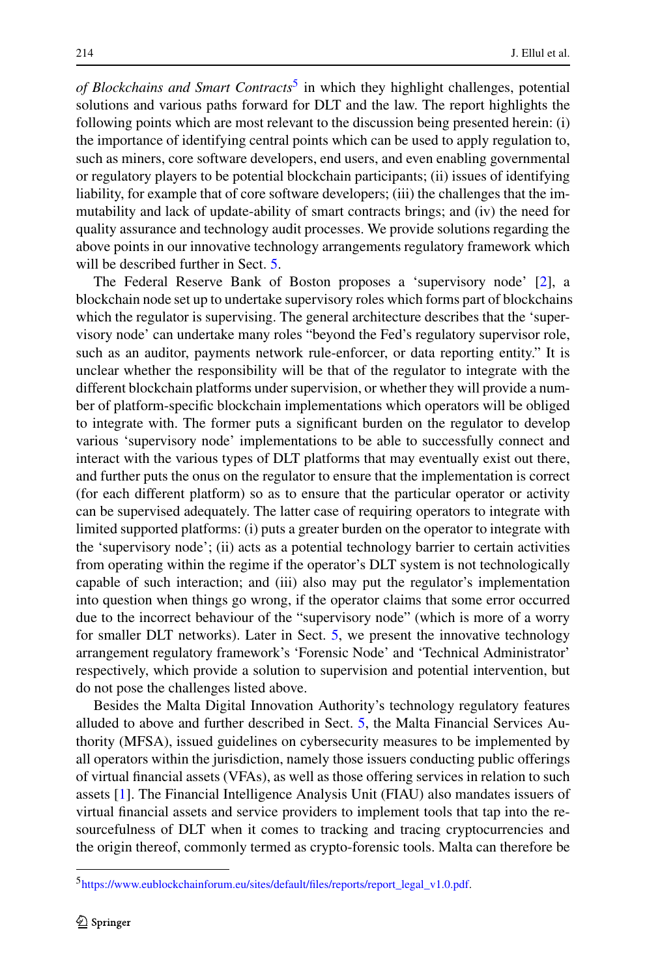*of Blockchains and Smart Contracts*<sup>[5](#page-5-0)</sup> in which they highlight challenges, potential solutions and various paths forward for DLT and the law. The report highlights the following points which are most relevant to the discussion being presented herein: (i) the importance of identifying central points which can be used to apply regulation to, such as miners, core software developers, end users, and even enabling governmental or regulatory players to be potential blockchain participants; (ii) issues of identifying liability, for example that of core software developers; (iii) the challenges that the immutability and lack of update-ability of smart contracts brings; and (iv) the need for quality assurance and technology audit processes. We provide solutions regarding the above points in our innovative technology arrangements regulatory framework which will be described further in Sect. [5](#page-7-0).

The Federal Reserve Bank of Boston proposes a 'supervisory node' [[2\]](#page-11-3), a blockchain node set up to undertake supervisory roles which forms part of blockchains which the regulator is supervising. The general architecture describes that the 'supervisory node' can undertake many roles "beyond the Fed's regulatory supervisor role, such as an auditor, payments network rule-enforcer, or data reporting entity." It is unclear whether the responsibility will be that of the regulator to integrate with the different blockchain platforms under supervision, or whether they will provide a number of platform-specific blockchain implementations which operators will be obliged to integrate with. The former puts a significant burden on the regulator to develop various 'supervisory node' implementations to be able to successfully connect and interact with the various types of DLT platforms that may eventually exist out there, and further puts the onus on the regulator to ensure that the implementation is correct (for each different platform) so as to ensure that the particular operator or activity can be supervised adequately. The latter case of requiring operators to integrate with limited supported platforms: (i) puts a greater burden on the operator to integrate with the 'supervisory node'; (ii) acts as a potential technology barrier to certain activities from operating within the regime if the operator's DLT system is not technologically capable of such interaction; and (iii) also may put the regulator's implementation into question when things go wrong, if the operator claims that some error occurred due to the incorrect behaviour of the "supervisory node" (which is more of a worry for smaller DLT networks). Later in Sect. [5,](#page-7-0) we present the innovative technology arrangement regulatory framework's 'Forensic Node' and 'Technical Administrator' respectively, which provide a solution to supervision and potential intervention, but do not pose the challenges listed above.

<span id="page-5-0"></span>Besides the Malta Digital Innovation Authority's technology regulatory features alluded to above and further described in Sect. [5,](#page-7-0) the Malta Financial Services Authority (MFSA), issued guidelines on cybersecurity measures to be implemented by all operators within the jurisdiction, namely those issuers conducting public offerings of virtual financial assets (VFAs), as well as those offering services in relation to such assets [[1\]](#page-11-4). The Financial Intelligence Analysis Unit (FIAU) also mandates issuers of virtual financial assets and service providers to implement tools that tap into the resourcefulness of DLT when it comes to tracking and tracing cryptocurrencies and the origin thereof, commonly termed as crypto-forensic tools. Malta can therefore be

<sup>5</sup>[https://www.eublockchainforum.eu/sites/default/files/reports/report\\_legal\\_v1.0.pdf.](https://www.eublockchainforum.eu/sites/default/files/reports/report_legal_v1.0.pdf)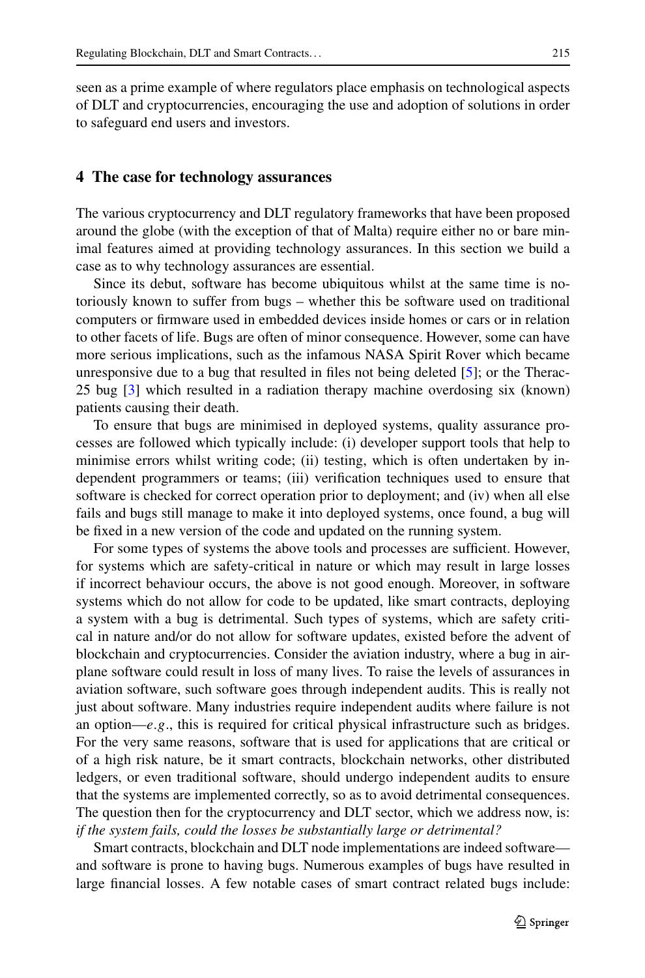seen as a prime example of where regulators place emphasis on technological aspects of DLT and cryptocurrencies, encouraging the use and adoption of solutions in order to safeguard end users and investors.

#### **4 The case for technology assurances**

The various cryptocurrency and DLT regulatory frameworks that have been proposed around the globe (with the exception of that of Malta) require either no or bare minimal features aimed at providing technology assurances. In this section we build a case as to why technology assurances are essential.

Since its debut, software has become ubiquitous whilst at the same time is notoriously known to suffer from bugs – whether this be software used on traditional computers or firmware used in embedded devices inside homes or cars or in relation to other facets of life. Bugs are often of minor consequence. However, some can have more serious implications, such as the infamous NASA Spirit Rover which became unresponsive due to a bug that resulted in files not being deleted [\[5](#page-11-5)]; or the Therac-25 bug [\[3](#page-11-6)] which resulted in a radiation therapy machine overdosing six (known) patients causing their death.

To ensure that bugs are minimised in deployed systems, quality assurance processes are followed which typically include: (i) developer support tools that help to minimise errors whilst writing code; (ii) testing, which is often undertaken by independent programmers or teams; (iii) verification techniques used to ensure that software is checked for correct operation prior to deployment; and (iv) when all else fails and bugs still manage to make it into deployed systems, once found, a bug will be fixed in a new version of the code and updated on the running system.

For some types of systems the above tools and processes are sufficient. However, for systems which are safety-critical in nature or which may result in large losses if incorrect behaviour occurs, the above is not good enough. Moreover, in software systems which do not allow for code to be updated, like smart contracts, deploying a system with a bug is detrimental. Such types of systems, which are safety critical in nature and/or do not allow for software updates, existed before the advent of blockchain and cryptocurrencies. Consider the aviation industry, where a bug in airplane software could result in loss of many lives. To raise the levels of assurances in aviation software, such software goes through independent audits. This is really not just about software. Many industries require independent audits where failure is not an option—*e*.*g*., this is required for critical physical infrastructure such as bridges. For the very same reasons, software that is used for applications that are critical or of a high risk nature, be it smart contracts, blockchain networks, other distributed ledgers, or even traditional software, should undergo independent audits to ensure that the systems are implemented correctly, so as to avoid detrimental consequences. The question then for the cryptocurrency and DLT sector, which we address now, is: *if the system fails, could the losses be substantially large or detrimental?*

Smart contracts, blockchain and DLT node implementations are indeed software and software is prone to having bugs. Numerous examples of bugs have resulted in large financial losses. A few notable cases of smart contract related bugs include: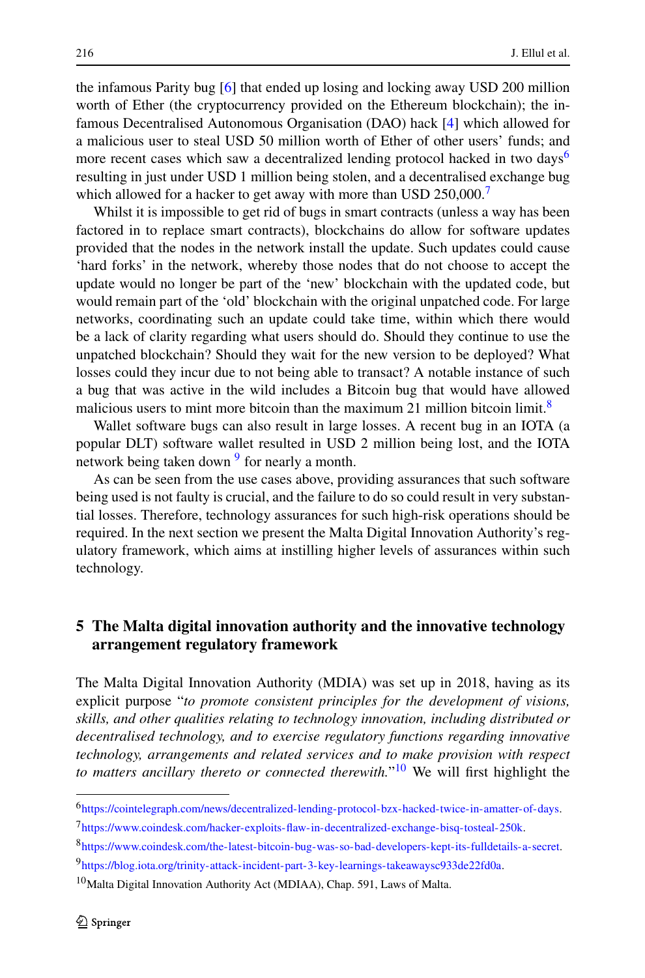the infamous Parity bug [[6\]](#page-11-7) that ended up losing and locking away USD 200 million worth of Ether (the cryptocurrency provided on the Ethereum blockchain); the infamous Decentralised Autonomous Organisation (DAO) hack [[4\]](#page-11-8) which allowed for a malicious user to steal USD 50 million worth of Ether of other users' funds; and more recent cases which saw a decentralized lending protocol hacked in two days<sup>6</sup> resulting in just under USD 1 million being stolen, and a decentralised exchange bug which allowed for a hacker to get away with more than USD  $250,000$ .<sup>[7](#page-7-2)</sup>

Whilst it is impossible to get rid of bugs in smart contracts (unless a way has been factored in to replace smart contracts), blockchains do allow for software updates provided that the nodes in the network install the update. Such updates could cause 'hard forks' in the network, whereby those nodes that do not choose to accept the update would no longer be part of the 'new' blockchain with the updated code, but would remain part of the 'old' blockchain with the original unpatched code. For large networks, coordinating such an update could take time, within which there would be a lack of clarity regarding what users should do. Should they continue to use the unpatched blockchain? Should they wait for the new version to be deployed? What losses could they incur due to not being able to transact? A notable instance of such a bug that was active in the wild includes a Bitcoin bug that would have allowed malicious users to mint more bitcoin than the maximum 21 million bitcoin limit.<sup>[8](#page-7-3)</sup>

Wallet software bugs can also result in large losses. A recent bug in an IOTA (a popular DLT) software wallet resulted in USD 2 million being lost, and the IOTA network being taken down  $9$  for nearly a month.

<span id="page-7-0"></span>As can be seen from the use cases above, providing assurances that such software being used is not faulty is crucial, and the failure to do so could result in very substantial losses. Therefore, technology assurances for such high-risk operations should be required. In the next section we present the Malta Digital Innovation Authority's regulatory framework, which aims at instilling higher levels of assurances within such technology.

# **5 The Malta digital innovation authority and the innovative technology arrangement regulatory framework**

<span id="page-7-4"></span><span id="page-7-3"></span><span id="page-7-2"></span><span id="page-7-1"></span>The Malta Digital Innovation Authority (MDIA) was set up in 2018, having as its explicit purpose "*to promote consistent principles for the development of visions, skills, and other qualities relating to technology innovation, including distributed or decentralised technology, and to exercise regulatory functions regarding innovative technology, arrangements and related services and to make provision with respect to matters ancillary thereto or connected therewith.*"[10](#page-7-5) We will first highlight the

<span id="page-7-5"></span><sup>6</sup><https://cointelegraph.com/news/decentralized-lending-protocol-bzx-hacked-twice-in-amatter-of-days>.

<sup>7</sup><https://www.coindesk.com/hacker-exploits-flaw-in-decentralized-exchange-bisq-tosteal-250k>.

<sup>8</sup><https://www.coindesk.com/the-latest-bitcoin-bug-was-so-bad-developers-kept-its-fulldetails-a-secret>. 9[https://blog.iota.org/trinity-attack-incident-part-3-key-learnings-takeawaysc933de22fd0a.](https://blog.iota.org/trinity-attack-incident-part-3-key-learnings-takeawaysc933de22fd0a)

<sup>10</sup>Malta Digital Innovation Authority Act (MDIAA), Chap. 591, Laws of Malta.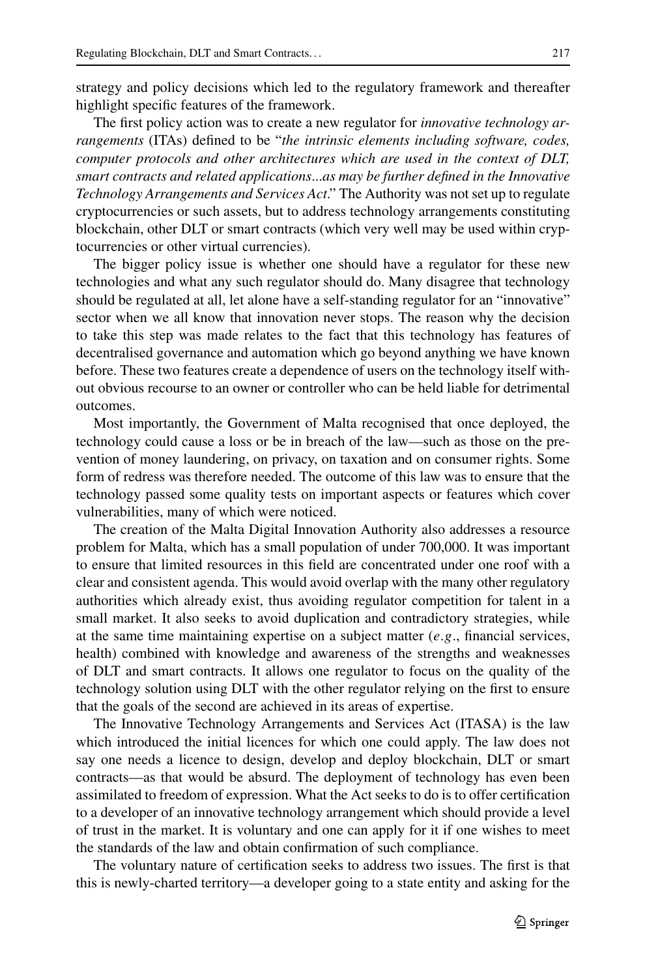strategy and policy decisions which led to the regulatory framework and thereafter highlight specific features of the framework.

The first policy action was to create a new regulator for *innovative technology arrangements* (ITAs) defined to be "*the intrinsic elements including software, codes, computer protocols and other architectures which are used in the context of DLT, smart contracts and related applications*...*as may be further defined in the Innovative Technology Arrangements and Services Act*." The Authority was not set up to regulate cryptocurrencies or such assets, but to address technology arrangements constituting blockchain, other DLT or smart contracts (which very well may be used within cryptocurrencies or other virtual currencies).

The bigger policy issue is whether one should have a regulator for these new technologies and what any such regulator should do. Many disagree that technology should be regulated at all, let alone have a self-standing regulator for an "innovative" sector when we all know that innovation never stops. The reason why the decision to take this step was made relates to the fact that this technology has features of decentralised governance and automation which go beyond anything we have known before. These two features create a dependence of users on the technology itself without obvious recourse to an owner or controller who can be held liable for detrimental outcomes.

Most importantly, the Government of Malta recognised that once deployed, the technology could cause a loss or be in breach of the law—such as those on the prevention of money laundering, on privacy, on taxation and on consumer rights. Some form of redress was therefore needed. The outcome of this law was to ensure that the technology passed some quality tests on important aspects or features which cover vulnerabilities, many of which were noticed.

The creation of the Malta Digital Innovation Authority also addresses a resource problem for Malta, which has a small population of under 700,000. It was important to ensure that limited resources in this field are concentrated under one roof with a clear and consistent agenda. This would avoid overlap with the many other regulatory authorities which already exist, thus avoiding regulator competition for talent in a small market. It also seeks to avoid duplication and contradictory strategies, while at the same time maintaining expertise on a subject matter (*e*.*g*., financial services, health) combined with knowledge and awareness of the strengths and weaknesses of DLT and smart contracts. It allows one regulator to focus on the quality of the technology solution using DLT with the other regulator relying on the first to ensure that the goals of the second are achieved in its areas of expertise.

The Innovative Technology Arrangements and Services Act (ITASA) is the law which introduced the initial licences for which one could apply. The law does not say one needs a licence to design, develop and deploy blockchain, DLT or smart contracts—as that would be absurd. The deployment of technology has even been assimilated to freedom of expression. What the Act seeks to do is to offer certification to a developer of an innovative technology arrangement which should provide a level of trust in the market. It is voluntary and one can apply for it if one wishes to meet the standards of the law and obtain confirmation of such compliance.

The voluntary nature of certification seeks to address two issues. The first is that this is newly-charted territory—a developer going to a state entity and asking for the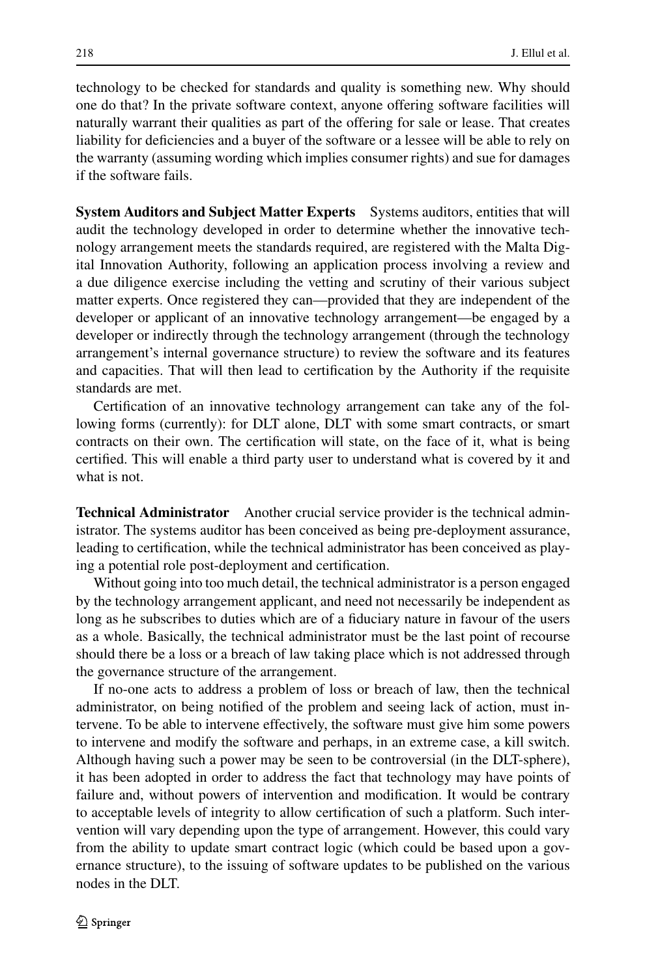technology to be checked for standards and quality is something new. Why should one do that? In the private software context, anyone offering software facilities will naturally warrant their qualities as part of the offering for sale or lease. That creates liability for deficiencies and a buyer of the software or a lessee will be able to rely on the warranty (assuming wording which implies consumer rights) and sue for damages if the software fails.

**System Auditors and Subject Matter Experts** Systems auditors, entities that will audit the technology developed in order to determine whether the innovative technology arrangement meets the standards required, are registered with the Malta Digital Innovation Authority, following an application process involving a review and a due diligence exercise including the vetting and scrutiny of their various subject matter experts. Once registered they can—provided that they are independent of the developer or applicant of an innovative technology arrangement—be engaged by a developer or indirectly through the technology arrangement (through the technology arrangement's internal governance structure) to review the software and its features and capacities. That will then lead to certification by the Authority if the requisite standards are met.

Certification of an innovative technology arrangement can take any of the following forms (currently): for DLT alone, DLT with some smart contracts, or smart contracts on their own. The certification will state, on the face of it, what is being certified. This will enable a third party user to understand what is covered by it and what is not.

**Technical Administrator** Another crucial service provider is the technical administrator. The systems auditor has been conceived as being pre-deployment assurance, leading to certification, while the technical administrator has been conceived as playing a potential role post-deployment and certification.

Without going into too much detail, the technical administrator is a person engaged by the technology arrangement applicant, and need not necessarily be independent as long as he subscribes to duties which are of a fiduciary nature in favour of the users as a whole. Basically, the technical administrator must be the last point of recourse should there be a loss or a breach of law taking place which is not addressed through the governance structure of the arrangement.

If no-one acts to address a problem of loss or breach of law, then the technical administrator, on being notified of the problem and seeing lack of action, must intervene. To be able to intervene effectively, the software must give him some powers to intervene and modify the software and perhaps, in an extreme case, a kill switch. Although having such a power may be seen to be controversial (in the DLT-sphere), it has been adopted in order to address the fact that technology may have points of failure and, without powers of intervention and modification. It would be contrary to acceptable levels of integrity to allow certification of such a platform. Such intervention will vary depending upon the type of arrangement. However, this could vary from the ability to update smart contract logic (which could be based upon a governance structure), to the issuing of software updates to be published on the various nodes in the DLT.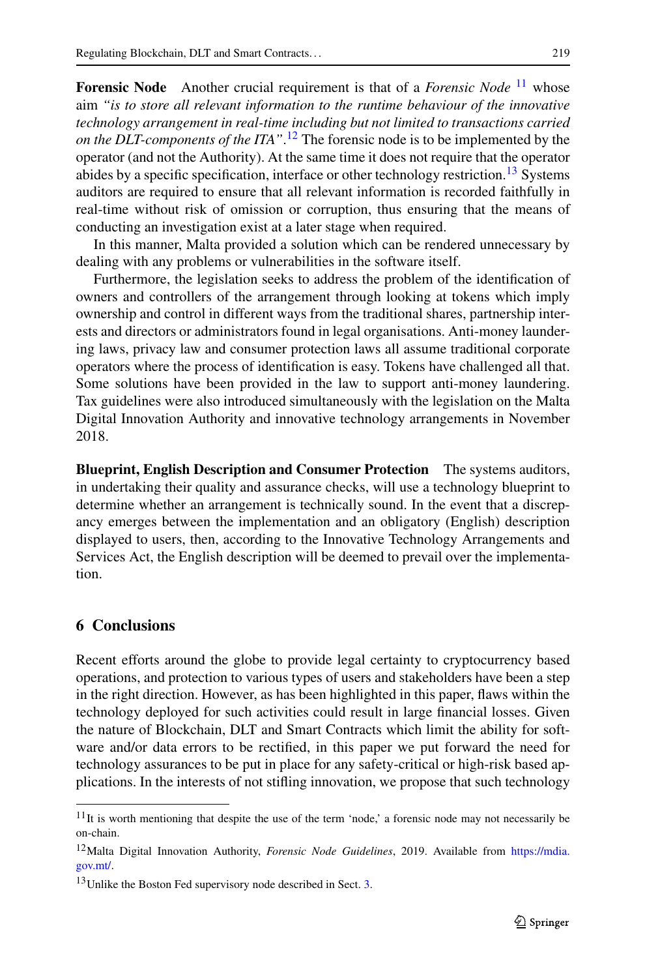**Forensic Node** Another crucial requirement is that of a *Forensic Node* <sup>[11](#page-10-0)</sup> whose aim *"is to store all relevant information to the runtime behaviour of the innovative technology arrangement in real-time including but not limited to transactions carried on the DLT-components of the ITA"*. [12](#page-10-1) The forensic node is to be implemented by the operator (and not the Authority). At the same time it does not require that the operator abides by a specific specification, interface or other technology restriction.<sup>[13](#page-10-2)</sup> Systems auditors are required to ensure that all relevant information is recorded faithfully in real-time without risk of omission or corruption, thus ensuring that the means of conducting an investigation exist at a later stage when required.

In this manner, Malta provided a solution which can be rendered unnecessary by dealing with any problems or vulnerabilities in the software itself.

Furthermore, the legislation seeks to address the problem of the identification of owners and controllers of the arrangement through looking at tokens which imply ownership and control in different ways from the traditional shares, partnership interests and directors or administrators found in legal organisations. Anti-money laundering laws, privacy law and consumer protection laws all assume traditional corporate operators where the process of identification is easy. Tokens have challenged all that. Some solutions have been provided in the law to support anti-money laundering. Tax guidelines were also introduced simultaneously with the legislation on the Malta Digital Innovation Authority and innovative technology arrangements in November 2018.

**Blueprint, English Description and Consumer Protection** The systems auditors, in undertaking their quality and assurance checks, will use a technology blueprint to determine whether an arrangement is technically sound. In the event that a discrepancy emerges between the implementation and an obligatory (English) description displayed to users, then, according to the Innovative Technology Arrangements and Services Act, the English description will be deemed to prevail over the implementation.

## **6 Conclusions**

<span id="page-10-1"></span><span id="page-10-0"></span>Recent efforts around the globe to provide legal certainty to cryptocurrency based operations, and protection to various types of users and stakeholders have been a step in the right direction. However, as has been highlighted in this paper, flaws within the technology deployed for such activities could result in large financial losses. Given the nature of Blockchain, DLT and Smart Contracts which limit the ability for software and/or data errors to be rectified, in this paper we put forward the need for technology assurances to be put in place for any safety-critical or high-risk based applications. In the interests of not stifling innovation, we propose that such technology

<span id="page-10-2"></span> $11$ It is worth mentioning that despite the use of the term 'node,' a forensic node may not necessarily be on-chain.

<sup>12</sup>Malta Digital Innovation Authority, *Forensic Node Guidelines*, 2019. Available from [https://mdia.](https://mdia.gov.mt/) [gov.mt/.](https://mdia.gov.mt/)

<sup>&</sup>lt;sup>1[3](#page-3-0)</sup>Unlike the Boston Fed supervisory node described in Sect. 3.